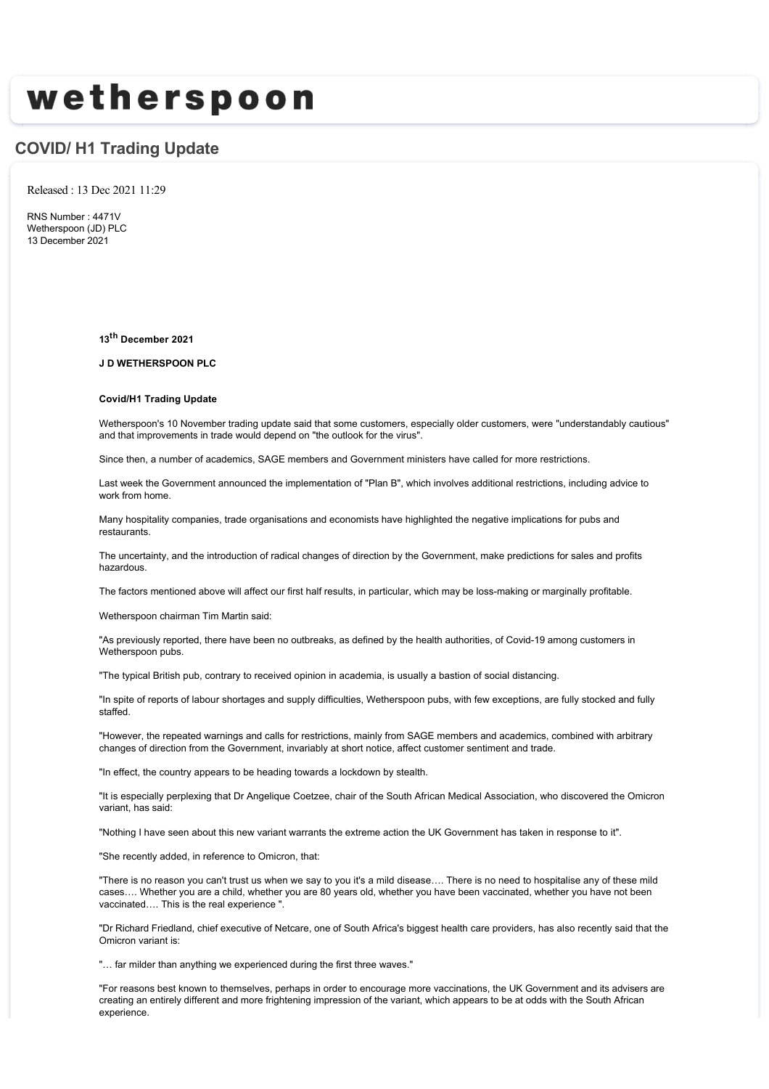# wetherspoon

## **COVID/ H1 Trading Update**

Released : 13 Dec 2021 11:29

RNS Number : 4471V Wetherspoon (JD) PLC 13 December 2021

**13th December 2021**

**J D WETHERSPOON PLC**

### **Covid/H1 Trading Update**

Wetherspoon's 10 November trading update said that some customers, especially older customers, were "understandably cautious" and that improvements in trade would depend on "the outlook for the virus".

Since then, a number of academics, SAGE members and Government ministers have called for more restrictions.

Last week the Government announced the implementation of "Plan B", which involves additional restrictions, including advice to work from home.

Many hospitality companies, trade organisations and economists have highlighted the negative implications for pubs and restaurants.

The uncertainty, and the introduction of radical changes of direction by the Government, make predictions for sales and profits hazardous.

The factors mentioned above will affect our first half results, in particular, which may be loss-making or marginally profitable.

Wetherspoon chairman Tim Martin said:

"As previously reported, there have been no outbreaks, as defined by the health authorities, of Covid-19 among customers in Wetherspoon pubs.

"The typical British pub, contrary to received opinion in academia, is usually a bastion of social distancing.

"In spite of reports of labour shortages and supply difficulties, Wetherspoon pubs, with few exceptions, are fully stocked and fully staffed.

"However, the repeated warnings and calls for restrictions, mainly from SAGE members and academics, combined with arbitrary changes of direction from the Government, invariably at short notice, affect customer sentiment and trade.

"In effect, the country appears to be heading towards a lockdown by stealth.

"It is especially perplexing that Dr Angelique Coetzee, chair of the South African Medical Association, who discovered the Omicron variant, has said:

"Nothing I have seen about this new variant warrants the extreme action the UK Government has taken in response to it".

"She recently added, in reference to Omicron, that:

"There is no reason you can't trust us when we say to you it's a mild disease…. There is no need to hospitalise any of these mild cases…. Whether you are a child, whether you are 80 years old, whether you have been vaccinated, whether you have not been vaccinated…. This is the real experience ".

"Dr Richard Friedland, chief executive of Netcare, one of South Africa's biggest health care providers, has also recently said that the Omicron variant is:

"… far milder than anything we experienced during the first three waves."

"For reasons best known to themselves, perhaps in order to encourage more vaccinations, the UK Government and its advisers are creating an entirely different and more frightening impression of the variant, which appears to be at odds with the South African experience.